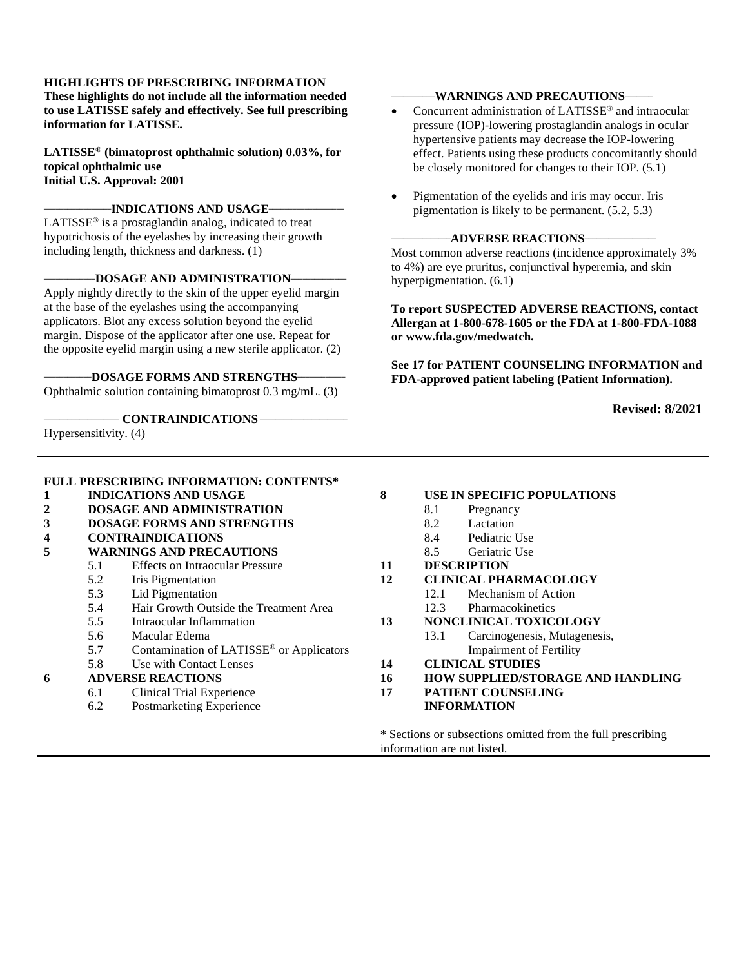#### **HIGHLIGHTS OF PRESCRIBING INFORMATION**

**These highlights do not include all the information needed to use LATISSE safely and effectively. See full prescribing information for LATISSE.** 

**LATISSE® (bimatoprost ophthalmic solution) 0.03%, for topical ophthalmic use Initial U.S. Approval: 2001**

#### $-$ **INDICATIONS AND USAGE**

LATISSE® is a prostaglandin analog, indicated to treat hypotrichosis of the eyelashes by increasing their growth including length, thickness and darkness. (1)

#### **\_\_\_\_\_\_\_\_\_\_\_\_\_DOSAGE AND ADMINISTRATION\_\_\_\_\_\_\_\_\_\_\_\_\_\_**

Apply nightly directly to the skin of the upper eyelid margin at the base of the eyelashes using the accompanying applicators. Blot any excess solution beyond the eyelid margin. Dispose of the applicator after one use. Repeat for the opposite eyelid margin using a new sterile applicator. (2)

#### **\_\_\_\_\_\_\_\_\_\_\_\_DOSAGE FORMS AND STRENGTHS\_\_\_\_\_\_\_\_\_\_\_\_**

Ophthalmic solution containing bimatoprost 0.3 mg/mL. (3)

#### **\_\_\_\_\_\_\_\_\_\_\_\_\_\_\_\_\_\_\_ CONTRAINDICATIONS \_\_\_\_\_\_\_\_\_\_\_\_\_\_\_\_\_\_\_\_\_\_**

Hypersensitivity. (4)

#### **\_\_\_\_\_\_\_\_\_\_\_WARNINGS AND PRECAUTIONS\_\_\_\_\_\_\_**

- Concurrent administration of LATISSE<sup>®</sup> and intraocular pressure (IOP)-lowering prostaglandin analogs in ocular hypertensive patients may decrease the IOP-lowering effect. Patients using these products concomitantly should be closely monitored for changes to their IOP. (5.1)
- Pigmentation of the eyelids and iris may occur. Iris pigmentation is likely to be permanent. (5.2, 5.3)

#### **\_\_\_\_\_\_\_\_\_\_\_\_\_\_\_ADVERSE REACTIONS\_\_\_\_\_\_\_\_\_\_\_\_\_\_\_\_\_\_**

Most common adverse reactions (incidence approximately 3% to 4%) are eye pruritus, conjunctival hyperemia, and skin hyperpigmentation. (6.1)

**To report SUSPECTED ADVERSE REACTIONS, contact Allergan at 1-800-678-1605 or the FDA at 1-800-FDA-1088 or www.fda.gov/medwatch.** 

**See 17 for PATIENT COUNSELING INFORMATION and FDA-approved patient labeling (Patient Information).** 

**Revised: 8/2021** 

|   |                              | <b>FULL PRESCRIBING INFORMATION: CONTENTS*</b>       |                      |                                                             |  |  |
|---|------------------------------|------------------------------------------------------|----------------------|-------------------------------------------------------------|--|--|
| 1 | <b>INDICATIONS AND USAGE</b> |                                                      | 8                    | USE IN SPECIFIC POPULATIONS                                 |  |  |
| 2 |                              | <b>DOSAGE AND ADMINISTRATION</b>                     |                      | 8.1<br>Pregnancy                                            |  |  |
| 3 |                              | <b>DOSAGE FORMS AND STRENGTHS</b>                    |                      | 8.2<br>Lactation                                            |  |  |
| 4 |                              | <b>CONTRAINDICATIONS</b>                             |                      | 8.4<br>Pediatric Use                                        |  |  |
| 5 |                              | <b>WARNINGS AND PRECAUTIONS</b>                      | 8.5<br>Geriatric Use |                                                             |  |  |
|   | 5.1                          | <b>Effects on Intraocular Pressure</b>               | 11                   | <b>DESCRIPTION</b>                                          |  |  |
|   | 5.2                          | Iris Pigmentation                                    | 12                   | <b>CLINICAL PHARMACOLOGY</b>                                |  |  |
|   | 5.3                          | Lid Pigmentation                                     |                      | Mechanism of Action<br>12.1                                 |  |  |
|   | 5.4                          | Hair Growth Outside the Treatment Area               |                      | Pharmacokinetics<br>12.3                                    |  |  |
|   | 5.5                          | Intraocular Inflammation                             | 13                   | NONCLINICAL TOXICOLOGY                                      |  |  |
|   | 5.6                          | Macular Edema                                        |                      | Carcinogenesis, Mutagenesis,<br>13.1                        |  |  |
|   | 5.7                          | Contamination of LATISSE <sup>®</sup> or Applicators |                      | <b>Impairment of Fertility</b>                              |  |  |
|   | 5.8                          | Use with Contact Lenses                              | 14                   | <b>CLINICAL STUDIES</b>                                     |  |  |
| 6 |                              | <b>ADVERSE REACTIONS</b>                             | 16                   | <b>HOW SUPPLIED/STORAGE AND HANDLING</b>                    |  |  |
|   | 6.1                          | <b>Clinical Trial Experience</b>                     | 17                   | <b>PATIENT COUNSELING</b>                                   |  |  |
|   | 6.2                          | Postmarketing Experience                             |                      | <b>INFORMATION</b>                                          |  |  |
|   |                              |                                                      |                      | * Sections or subsections omitted from the full prescribing |  |  |

information are not listed.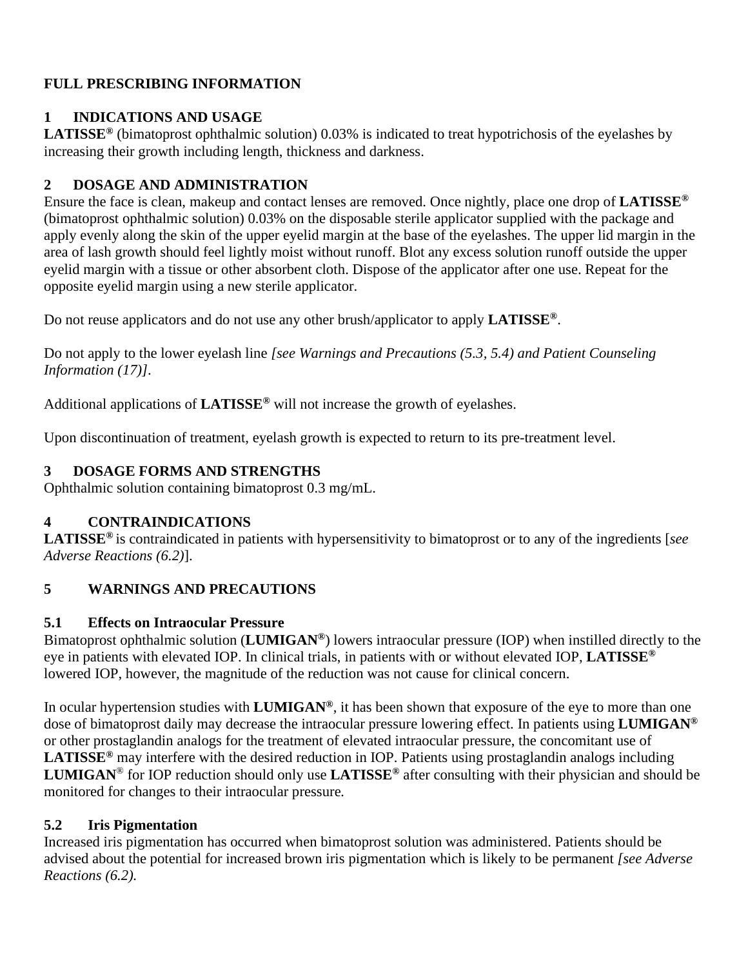# **FULL PRESCRIBING INFORMATION**

# **1 INDICATIONS AND USAGE**

**LATISSE®** (bimatoprost ophthalmic solution) 0.03% is indicated to treat hypotrichosis of the eyelashes by increasing their growth including length, thickness and darkness.

# **2 DOSAGE AND ADMINISTRATION**

Ensure the face is clean, makeup and contact lenses are removed. Once nightly, place one drop of **LATISSE®** (bimatoprost ophthalmic solution) 0.03% on the disposable sterile applicator supplied with the package and apply evenly along the skin of the upper eyelid margin at the base of the eyelashes. The upper lid margin in the area of lash growth should feel lightly moist without runoff. Blot any excess solution runoff outside the upper eyelid margin with a tissue or other absorbent cloth. Dispose of the applicator after one use. Repeat for the opposite eyelid margin using a new sterile applicator.

Do not reuse applicators and do not use any other brush/applicator to apply **LATISSE®**.

Do not apply to the lower eyelash line *[see Warnings and Precautions (5.3, 5.4) and Patient Counseling Information (17)]*.

Additional applications of **LATISSE®** will not increase the growth of eyelashes.

Upon discontinuation of treatment, eyelash growth is expected to return to its pre-treatment level.

# **3 DOSAGE FORMS AND STRENGTHS**

Ophthalmic solution containing bimatoprost 0.3 mg/mL.

# **4 CONTRAINDICATIONS**

**LATISSE®** is contraindicated in patients with hypersensitivity to bimatoprost or to any of the ingredients [*see Adverse Reactions (6.2)*].

# **5 WARNINGS AND PRECAUTIONS**

# **5.1 Effects on Intraocular Pressure**

Bimatoprost ophthalmic solution (**LUMIGAN®**) lowers intraocular pressure (IOP) when instilled directly to the eye in patients with elevated IOP. In clinical trials, in patients with or without elevated IOP, **LATISSE®** lowered IOP, however, the magnitude of the reduction was not cause for clinical concern.

In ocular hypertension studies with **LUMIGAN®**, it has been shown that exposure of the eye to more than one dose of bimatoprost daily may decrease the intraocular pressure lowering effect. In patients using **LUMIGAN®** or other prostaglandin analogs for the treatment of elevated intraocular pressure, the concomitant use of **LATISSE®** may interfere with the desired reduction in IOP. Patients using prostaglandin analogs including **LUMIGAN**® for IOP reduction should only use **LATISSE®** after consulting with their physician and should be monitored for changes to their intraocular pressure*.* 

# **5.2 Iris Pigmentation**

Increased iris pigmentation has occurred when bimatoprost solution was administered. Patients should be advised about the potential for increased brown iris pigmentation which is likely to be permanent *[see Adverse Reactions (6.2).*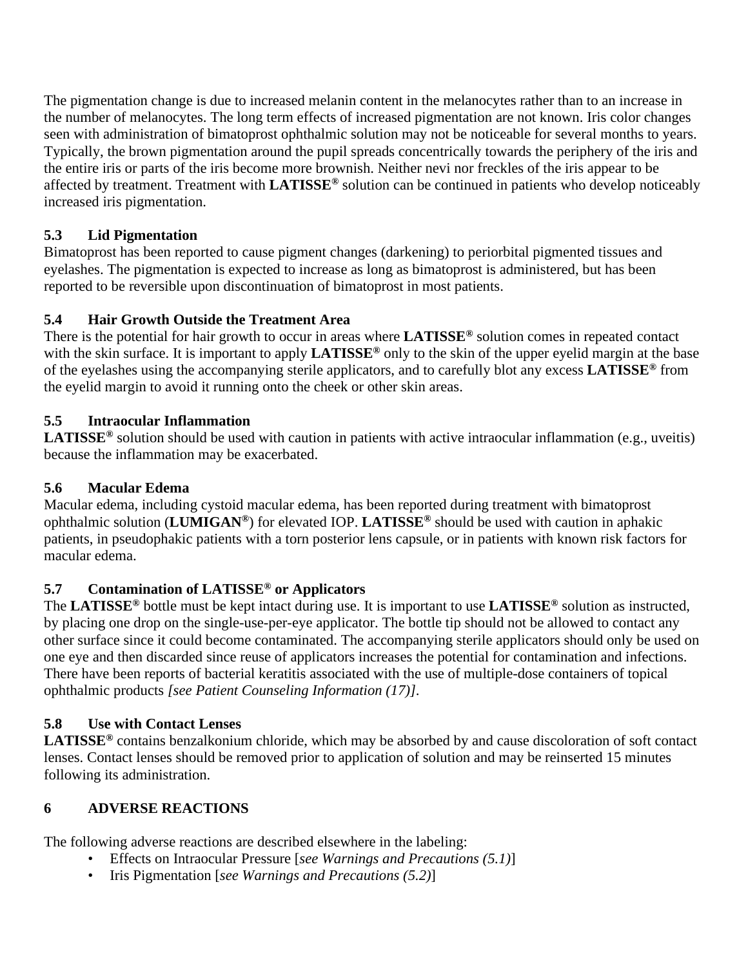The pigmentation change is due to increased melanin content in the melanocytes rather than to an increase in the number of melanocytes. The long term effects of increased pigmentation are not known. Iris color changes seen with administration of bimatoprost ophthalmic solution may not be noticeable for several months to years. Typically, the brown pigmentation around the pupil spreads concentrically towards the periphery of the iris and the entire iris or parts of the iris become more brownish. Neither nevi nor freckles of the iris appear to be affected by treatment. Treatment with **LATISSE®** solution can be continued in patients who develop noticeably increased iris pigmentation.

# **5.3 Lid Pigmentation**

Bimatoprost has been reported to cause pigment changes (darkening) to periorbital pigmented tissues and eyelashes. The pigmentation is expected to increase as long as bimatoprost is administered, but has been reported to be reversible upon discontinuation of bimatoprost in most patients.

# **5.4 Hair Growth Outside the Treatment Area**

There is the potential for hair growth to occur in areas where **LATISSE®** solution comes in repeated contact with the skin surface. It is important to apply **LATISSE®** only to the skin of the upper eyelid margin at the base of the eyelashes using the accompanying sterile applicators, and to carefully blot any excess **LATISSE®** from the eyelid margin to avoid it running onto the cheek or other skin areas.

# **5.5 Intraocular Inflammation**

LATISSE<sup>®</sup> solution should be used with caution in patients with active intraocular inflammation (e.g., uveitis) because the inflammation may be exacerbated.

# **5.6 Macular Edema**

Macular edema, including cystoid macular edema, has been reported during treatment with bimatoprost ophthalmic solution (**LUMIGAN®**) for elevated IOP. **LATISSE®** should be used with caution in aphakic patients, in pseudophakic patients with a torn posterior lens capsule, or in patients with known risk factors for macular edema.

# **5.7 Contamination of LATISSE® or Applicators**

The **LATISSE®** bottle must be kept intact during use. It is important to use **LATISSE®** solution as instructed, by placing one drop on the single-use-per-eye applicator. The bottle tip should not be allowed to contact any other surface since it could become contaminated. The accompanying sterile applicators should only be used on one eye and then discarded since reuse of applicators increases the potential for contamination and infections. There have been reports of bacterial keratitis associated with the use of multiple-dose containers of topical ophthalmic products *[see Patient Counseling Information (17)]*.

# **5.8 Use with Contact Lenses**

**LATISSE®** contains benzalkonium chloride, which may be absorbed by and cause discoloration of soft contact lenses. Contact lenses should be removed prior to application of solution and may be reinserted 15 minutes following its administration.

# **6 ADVERSE REACTIONS**

The following adverse reactions are described elsewhere in the labeling:

- Effects on Intraocular Pressure [*see Warnings and Precautions (5.1)*]
- Iris Pigmentation [*see Warnings and Precautions (5.2)*]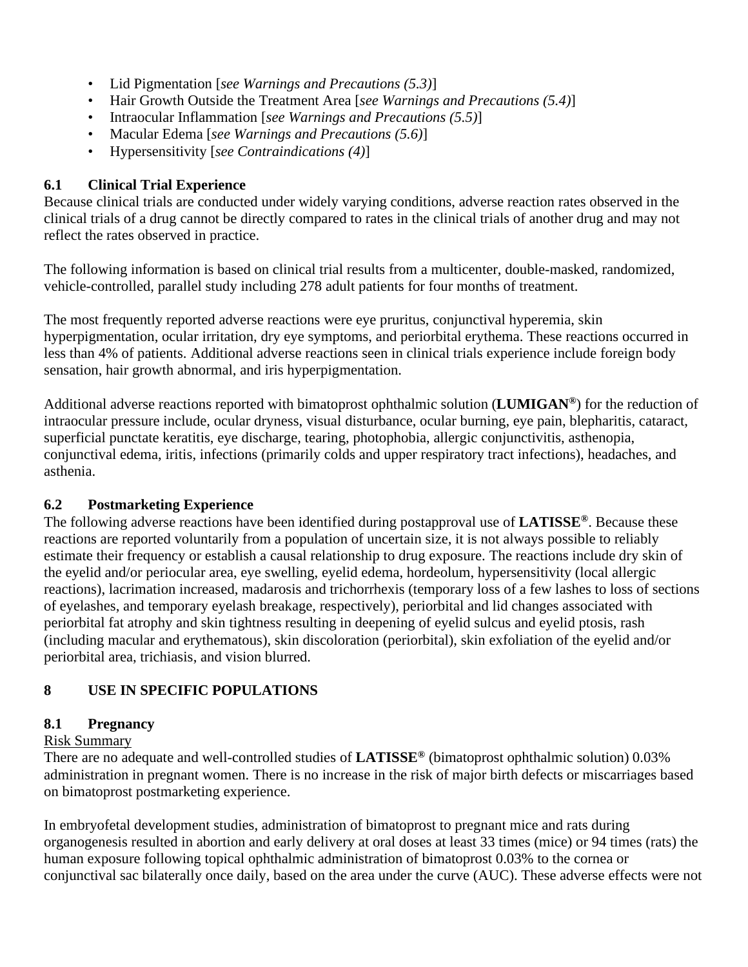- Lid Pigmentation [*see Warnings and Precautions (5.3)*]
- Hair Growth Outside the Treatment Area [*see Warnings and Precautions (5.4)*]
- Intraocular Inflammation [*see Warnings and Precautions (5.5)*]
- Macular Edema [*see Warnings and Precautions (5.6)*]
- Hypersensitivity [*see Contraindications (4)*]

### **6.1 Clinical Trial Experience**

Because clinical trials are conducted under widely varying conditions, adverse reaction rates observed in the clinical trials of a drug cannot be directly compared to rates in the clinical trials of another drug and may not reflect the rates observed in practice.

The following information is based on clinical trial results from a multicenter, double-masked, randomized, vehicle-controlled, parallel study including 278 adult patients for four months of treatment.

The most frequently reported adverse reactions were eye pruritus, conjunctival hyperemia, skin hyperpigmentation, ocular irritation, dry eye symptoms, and periorbital erythema. These reactions occurred in less than 4% of patients. Additional adverse reactions seen in clinical trials experience include foreign body sensation, hair growth abnormal, and iris hyperpigmentation.

Additional adverse reactions reported with bimatoprost ophthalmic solution (**LUMIGAN®**) for the reduction of intraocular pressure include, ocular dryness, visual disturbance, ocular burning, eye pain, blepharitis, cataract, superficial punctate keratitis, eye discharge, tearing, photophobia, allergic conjunctivitis, asthenopia, conjunctival edema, iritis, infections (primarily colds and upper respiratory tract infections), headaches, and asthenia.

### **6.2 Postmarketing Experience**

The following adverse reactions have been identified during postapproval use of **LATISSE®**. Because these reactions are reported voluntarily from a population of uncertain size, it is not always possible to reliably estimate their frequency or establish a causal relationship to drug exposure. The reactions include dry skin of the eyelid and/or periocular area, eye swelling, eyelid edema, hordeolum, hypersensitivity (local allergic reactions), lacrimation increased, madarosis and trichorrhexis (temporary loss of a few lashes to loss of sections of eyelashes, and temporary eyelash breakage, respectively), periorbital and lid changes associated with periorbital fat atrophy and skin tightness resulting in deepening of eyelid sulcus and eyelid ptosis, rash (including macular and erythematous), skin discoloration (periorbital), skin exfoliation of the eyelid and/or periorbital area, trichiasis, and vision blurred.

# **8 USE IN SPECIFIC POPULATIONS**

### **8.1 Pregnancy**

### Risk Summary

There are no adequate and well-controlled studies of **LATISSE®** (bimatoprost ophthalmic solution) 0.03% administration in pregnant women. There is no increase in the risk of major birth defects or miscarriages based on bimatoprost postmarketing experience.

In embryofetal development studies, administration of bimatoprost to pregnant mice and rats during organogenesis resulted in abortion and early delivery at oral doses at least 33 times (mice) or 94 times (rats) the human exposure following topical ophthalmic administration of bimatoprost 0.03% to the cornea or conjunctival sac bilaterally once daily, based on the area under the curve (AUC). These adverse effects were not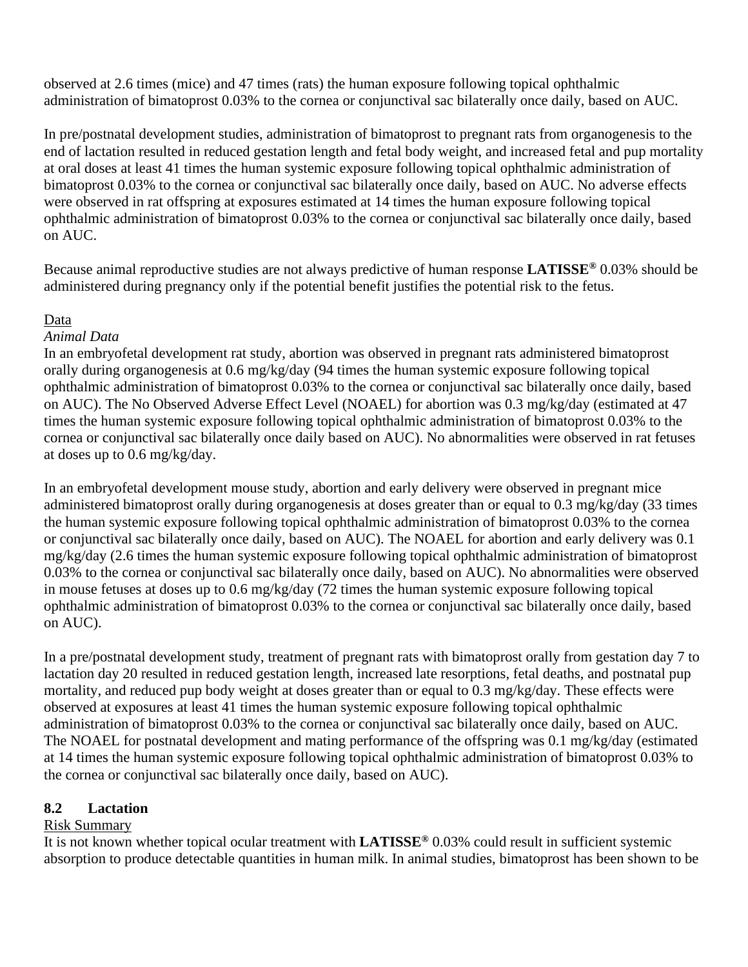observed at 2.6 times (mice) and 47 times (rats) the human exposure following topical ophthalmic administration of bimatoprost 0.03% to the cornea or conjunctival sac bilaterally once daily, based on AUC.

In pre/postnatal development studies, administration of bimatoprost to pregnant rats from organogenesis to the end of lactation resulted in reduced gestation length and fetal body weight, and increased fetal and pup mortality at oral doses at least 41 times the human systemic exposure following topical ophthalmic administration of bimatoprost 0.03% to the cornea or conjunctival sac bilaterally once daily, based on AUC. No adverse effects were observed in rat offspring at exposures estimated at 14 times the human exposure following topical ophthalmic administration of bimatoprost 0.03% to the cornea or conjunctival sac bilaterally once daily, based on AUC.

Because animal reproductive studies are not always predictive of human response **LATISSE®** 0.03% should be administered during pregnancy only if the potential benefit justifies the potential risk to the fetus.

#### Data

#### *Animal Data*

In an embryofetal development rat study, abortion was observed in pregnant rats administered bimatoprost orally during organogenesis at 0.6 mg/kg/day (94 times the human systemic exposure following topical ophthalmic administration of bimatoprost 0.03% to the cornea or conjunctival sac bilaterally once daily, based on AUC). The No Observed Adverse Effect Level (NOAEL) for abortion was 0.3 mg/kg/day (estimated at 47 times the human systemic exposure following topical ophthalmic administration of bimatoprost 0.03% to the cornea or conjunctival sac bilaterally once daily based on AUC). No abnormalities were observed in rat fetuses at doses up to 0.6 mg/kg/day.

In an embryofetal development mouse study, abortion and early delivery were observed in pregnant mice administered bimatoprost orally during organogenesis at doses greater than or equal to 0.3 mg/kg/day (33 times the human systemic exposure following topical ophthalmic administration of bimatoprost 0.03% to the cornea or conjunctival sac bilaterally once daily, based on AUC). The NOAEL for abortion and early delivery was 0.1 mg/kg/day (2.6 times the human systemic exposure following topical ophthalmic administration of bimatoprost 0.03% to the cornea or conjunctival sac bilaterally once daily, based on AUC). No abnormalities were observed in mouse fetuses at doses up to 0.6 mg/kg/day (72 times the human systemic exposure following topical ophthalmic administration of bimatoprost 0.03% to the cornea or conjunctival sac bilaterally once daily, based on AUC).

In a pre/postnatal development study, treatment of pregnant rats with bimatoprost orally from gestation day 7 to lactation day 20 resulted in reduced gestation length, increased late resorptions, fetal deaths, and postnatal pup mortality, and reduced pup body weight at doses greater than or equal to 0.3 mg/kg/day. These effects were observed at exposures at least 41 times the human systemic exposure following topical ophthalmic administration of bimatoprost 0.03% to the cornea or conjunctival sac bilaterally once daily, based on AUC. The NOAEL for postnatal development and mating performance of the offspring was 0.1 mg/kg/day (estimated at 14 times the human systemic exposure following topical ophthalmic administration of bimatoprost 0.03% to the cornea or conjunctival sac bilaterally once daily, based on AUC).

### **8.2 Lactation**

### Risk Summary

It is not known whether topical ocular treatment with **LATISSE®** 0.03% could result in sufficient systemic absorption to produce detectable quantities in human milk. In animal studies, bimatoprost has been shown to be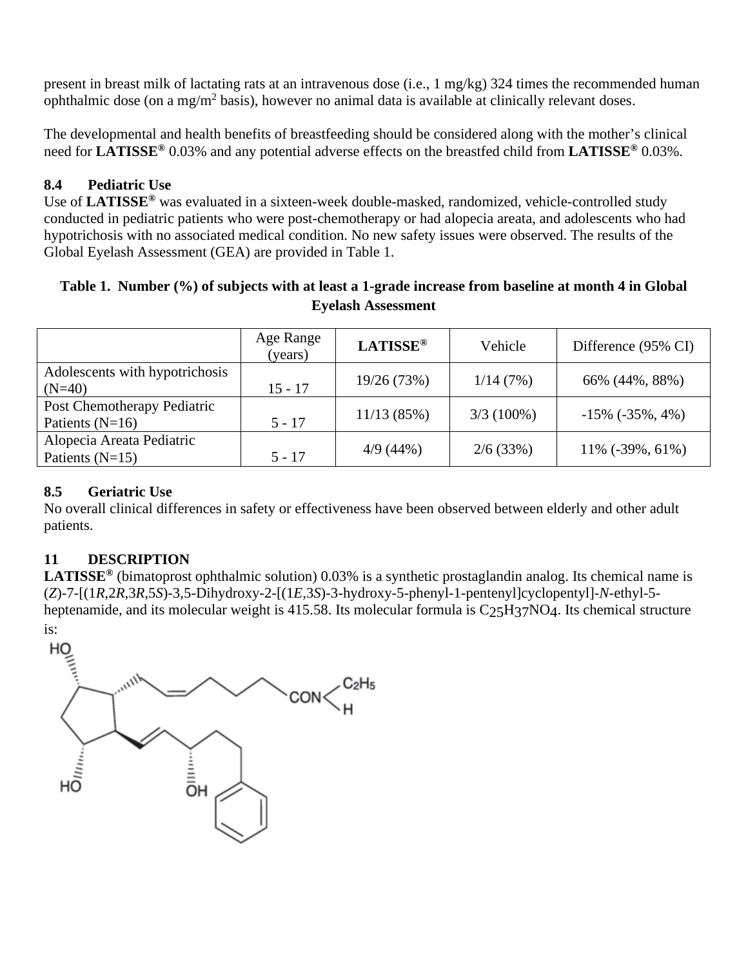present in breast milk of lactating rats at an intravenous dose (i.e., 1 mg/kg) 324 times the recommended human ophthalmic dose (on a mg/m<sup>2</sup> basis), however no animal data is available at clinically relevant doses.

The developmental and health benefits of breastfeeding should be considered along with the mother's clinical need for **LATISSE®** 0.03% and any potential adverse effects on the breastfed child from **LATISSE®** 0.03%.

## **8.4 Pediatric Use**

Use of **LATISSE®** was evaluated in a sixteen-week double-masked, randomized, vehicle-controlled study conducted in pediatric patients who were post-chemotherapy or had alopecia areata, and adolescents who had hypotrichosis with no associated medical condition. No new safety issues were observed. The results of the Global Eyelash Assessment (GEA) are provided in Table 1.

| Table 1. Number (%) of subjects with at least a 1-grade increase from baseline at month 4 in Global |                           |  |  |
|-----------------------------------------------------------------------------------------------------|---------------------------|--|--|
|                                                                                                     | <b>Eyelash Assessment</b> |  |  |

|                                                  | Age Range<br>(years) | <b>LATISSE®</b> | Vehicle      | Difference (95% CI)     |
|--------------------------------------------------|----------------------|-----------------|--------------|-------------------------|
| Adolescents with hypotrichosis<br>$(N=40)$       | $15 - 17$            | 19/26 (73%)     | 1/14(7%)     | 66% (44%, 88%)          |
| Post Chemotherapy Pediatric<br>Patients $(N=16)$ | $5 - 17$             | 11/13(85%)      | $3/3(100\%)$ | $-15\%$ ( $-35\%$ , 4%) |
| Alopecia Areata Pediatric<br>Patients $(N=15)$   | $5 - 17$             | 4/9(44%)        | 2/6(33%)     | 11% (-39%, 61%)         |

### **8.5 Geriatric Use**

No overall clinical differences in safety or effectiveness have been observed between elderly and other adult patients.

# **11 DESCRIPTION**

**LATISSE®** (bimatoprost ophthalmic solution) 0.03% is a synthetic prostaglandin analog. Its chemical name is (*Z*)-7-[(1*R*,2*R*,3*R*,5*S*)-3,5-Dihydroxy-2-[(1*E*,3*S*)-3-hydroxy-5-phenyl-1-pentenyl]cyclopentyl]-*N*-ethyl-5 heptenamide, and its molecular weight is 415.58. Its molecular formula is C<sub>25</sub>H<sub>37</sub>NO<sub>4</sub>. Its chemical structure is:

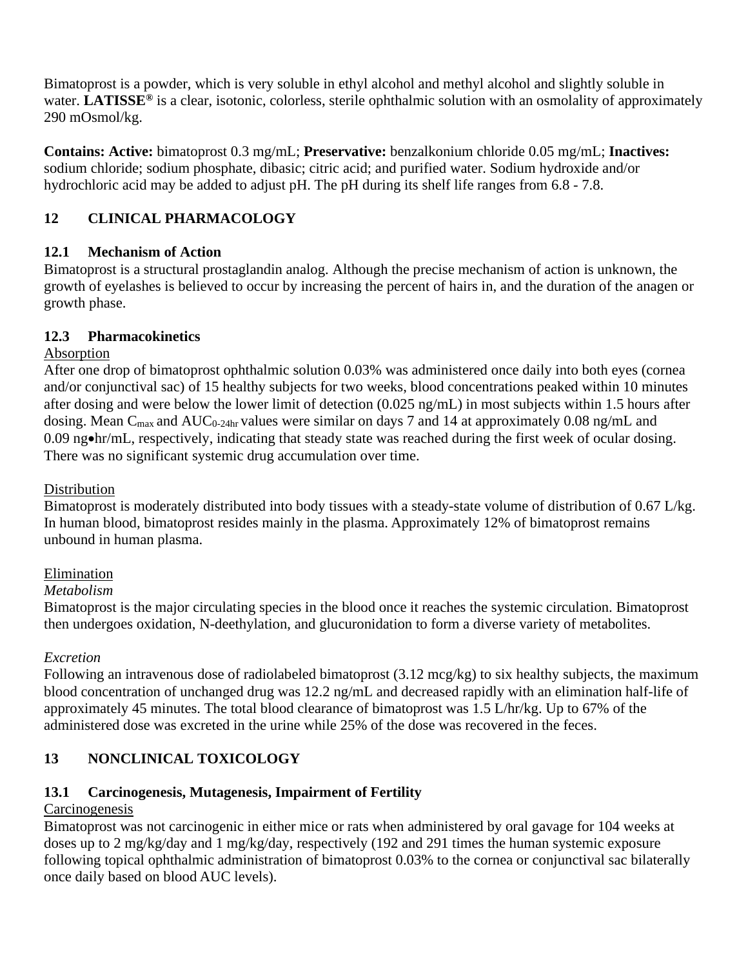Bimatoprost is a powder, which is very soluble in ethyl alcohol and methyl alcohol and slightly soluble in water. **LATISSE®** is a clear, isotonic, colorless, sterile ophthalmic solution with an osmolality of approximately 290 mOsmol/kg.

**Contains: Active:** bimatoprost 0.3 mg/mL; **Preservative:** benzalkonium chloride 0.05 mg/mL; **Inactives:** sodium chloride; sodium phosphate, dibasic; citric acid; and purified water. Sodium hydroxide and/or hydrochloric acid may be added to adjust pH. The pH during its shelf life ranges from 6.8 - 7.8.

# **12 CLINICAL PHARMACOLOGY**

# **12.1 Mechanism of Action**

Bimatoprost is a structural prostaglandin analog. Although the precise mechanism of action is unknown, the growth of eyelashes is believed to occur by increasing the percent of hairs in, and the duration of the anagen or growth phase.

### **12.3 Pharmacokinetics**

### Absorption

After one drop of bimatoprost ophthalmic solution 0.03% was administered once daily into both eyes (cornea and/or conjunctival sac) of 15 healthy subjects for two weeks, blood concentrations peaked within 10 minutes after dosing and were below the lower limit of detection (0.025 ng/mL) in most subjects within 1.5 hours after dosing. Mean C<sub>max</sub> and AUC<sub>0-24hr</sub> values were similar on days 7 and 14 at approximately 0.08 ng/mL and 0.09 ng•hr/mL, respectively, indicating that steady state was reached during the first week of ocular dosing. There was no significant systemic drug accumulation over time.

## Distribution

Bimatoprost is moderately distributed into body tissues with a steady-state volume of distribution of 0.67 L/kg. In human blood, bimatoprost resides mainly in the plasma. Approximately 12% of bimatoprost remains unbound in human plasma.

### Elimination

### *Metabolism*

Bimatoprost is the major circulating species in the blood once it reaches the systemic circulation. Bimatoprost then undergoes oxidation, N-deethylation, and glucuronidation to form a diverse variety of metabolites.

# *Excretion*

Following an intravenous dose of radiolabeled bimatoprost (3.12 mcg/kg) to six healthy subjects, the maximum blood concentration of unchanged drug was 12.2 ng/mL and decreased rapidly with an elimination half-life of approximately 45 minutes. The total blood clearance of bimatoprost was 1.5 L/hr/kg. Up to 67% of the administered dose was excreted in the urine while 25% of the dose was recovered in the feces.

# **13 NONCLINICAL TOXICOLOGY**

# **13.1 Carcinogenesis, Mutagenesis, Impairment of Fertility**

# **Carcinogenesis**

Bimatoprost was not carcinogenic in either mice or rats when administered by oral gavage for 104 weeks at doses up to 2 mg/kg/day and 1 mg/kg/day, respectively (192 and 291 times the human systemic exposure following topical ophthalmic administration of bimatoprost 0.03% to the cornea or conjunctival sac bilaterally once daily based on blood AUC levels).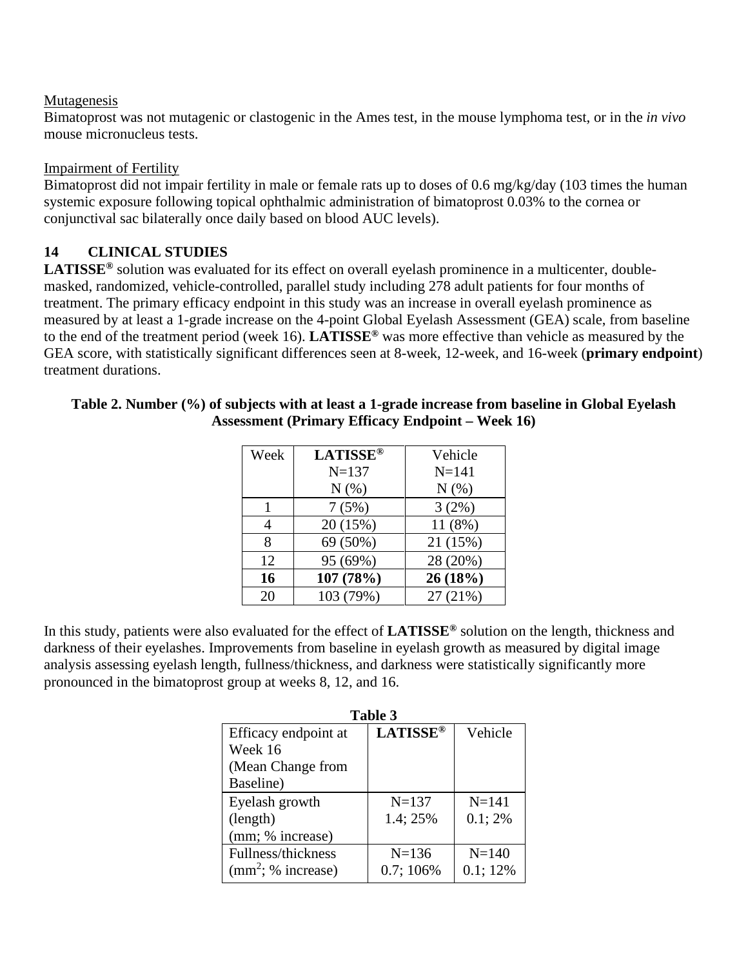#### Mutagenesis

Bimatoprost was not mutagenic or clastogenic in the Ames test, in the mouse lymphoma test, or in the *in vivo* mouse micronucleus tests.

#### Impairment of Fertility

Bimatoprost did not impair fertility in male or female rats up to doses of 0.6 mg/kg/day (103 times the human systemic exposure following topical ophthalmic administration of bimatoprost 0.03% to the cornea or conjunctival sac bilaterally once daily based on blood AUC levels).

# **14 CLINICAL STUDIES**

**LATISSE®** solution was evaluated for its effect on overall eyelash prominence in a multicenter, doublemasked, randomized, vehicle-controlled, parallel study including 278 adult patients for four months of treatment. The primary efficacy endpoint in this study was an increase in overall eyelash prominence as measured by at least a 1-grade increase on the 4-point Global Eyelash Assessment (GEA) scale, from baseline to the end of the treatment period (week 16). **LATISSE®** was more effective than vehicle as measured by the GEA score, with statistically significant differences seen at 8-week, 12-week, and 16-week (**primary endpoint**) treatment durations.

| Week | <b>LATISSE®</b> | Vehicle   |
|------|-----------------|-----------|
|      | $N = 137$       | $N = 141$ |
|      | N(% )           | $N(\%)$   |
|      | 7(5%)           | 3(2%)     |
| 4    | 20 (15%)        | 11 (8%)   |
| 8    | 69 (50%)        | 21 (15%)  |
| 12   | 95 (69%)        | 28 (20%)  |
| 16   | 107 (78%)       | 26 (18%)  |
| 20   | 103 (79%)       | 27 (21%)  |

**Table 2. Number (%) of subjects with at least a 1-grade increase from baseline in Global Eyelash Assessment (Primary Efficacy Endpoint – Week 16)** 

In this study, patients were also evaluated for the effect of **LATISSE®** solution on the length, thickness and darkness of their eyelashes. Improvements from baseline in eyelash growth as measured by digital image analysis assessing eyelash length, fullness/thickness, and darkness were statistically significantly more pronounced in the bimatoprost group at weeks 8, 12, and 16.

| Table 3              |                 |           |  |  |
|----------------------|-----------------|-----------|--|--|
| Efficacy endpoint at | <b>LATISSE®</b> | Vehicle   |  |  |
| Week 16              |                 |           |  |  |
| (Mean Change from    |                 |           |  |  |
| Baseline)            |                 |           |  |  |
| Eyelash growth       | $N = 137$       | $N = 141$ |  |  |
| (length)             | 1.4; 25%        | 0.1;2%    |  |  |
| (mm; % increase)     |                 |           |  |  |
| Fullness/thickness   | $N = 136$       | $N = 140$ |  |  |
| $(mm^2; %$ increase) | 0.7; 106%       | 0.1; 12%  |  |  |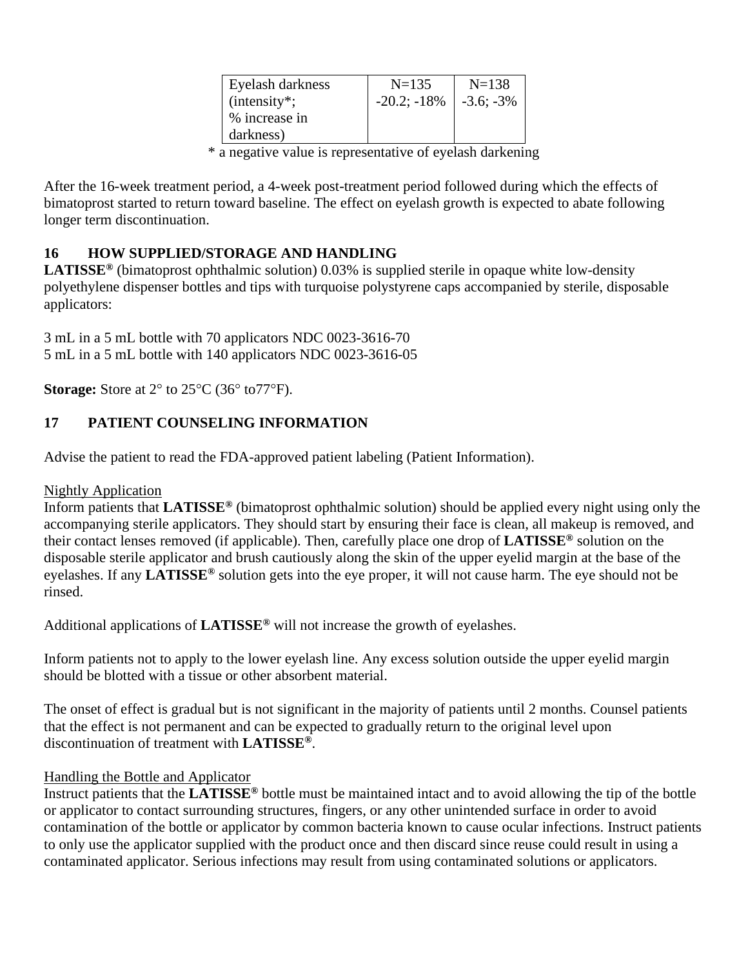| Eyelash darkness | $N=135$       | $N = 138$    |
|------------------|---------------|--------------|
| $(intensity^*;$  | $-20.2; -18%$ | $-3.6; -3\%$ |
| % increase in    |               |              |
| darkness)        |               |              |

\* a negative value is representative of eyelash darkening

After the 16-week treatment period, a 4-week post-treatment period followed during which the effects of bimatoprost started to return toward baseline. The effect on eyelash growth is expected to abate following longer term discontinuation.

# **16 HOW SUPPLIED/STORAGE AND HANDLING**

**LATISSE®** (bimatoprost ophthalmic solution) 0.03% is supplied sterile in opaque white low-density polyethylene dispenser bottles and tips with turquoise polystyrene caps accompanied by sterile, disposable applicators:

3 mL in a 5 mL bottle with 70 applicators NDC 0023-3616-70 5 mL in a 5 mL bottle with 140 applicators NDC 0023-3616-05

**Storage:** Store at 2° to 25°C (36° to 77°F).

### **17 PATIENT COUNSELING INFORMATION**

Advise the patient to read the FDA-approved patient labeling (Patient Information).

#### Nightly Application

Inform patients that **LATISSE®** (bimatoprost ophthalmic solution) should be applied every night using only the accompanying sterile applicators. They should start by ensuring their face is clean, all makeup is removed, and their contact lenses removed (if applicable). Then, carefully place one drop of **LATISSE®** solution on the disposable sterile applicator and brush cautiously along the skin of the upper eyelid margin at the base of the eyelashes. If any **LATISSE®** solution gets into the eye proper, it will not cause harm. The eye should not be rinsed.

Additional applications of **LATISSE®** will not increase the growth of eyelashes.

Inform patients not to apply to the lower eyelash line. Any excess solution outside the upper eyelid margin should be blotted with a tissue or other absorbent material.

The onset of effect is gradual but is not significant in the majority of patients until 2 months. Counsel patients that the effect is not permanent and can be expected to gradually return to the original level upon discontinuation of treatment with **LATISSE®**.

#### Handling the Bottle and Applicator

Instruct patients that the **LATISSE®** bottle must be maintained intact and to avoid allowing the tip of the bottle or applicator to contact surrounding structures, fingers, or any other unintended surface in order to avoid contamination of the bottle or applicator by common bacteria known to cause ocular infections. Instruct patients to only use the applicator supplied with the product once and then discard since reuse could result in using a contaminated applicator. Serious infections may result from using contaminated solutions or applicators.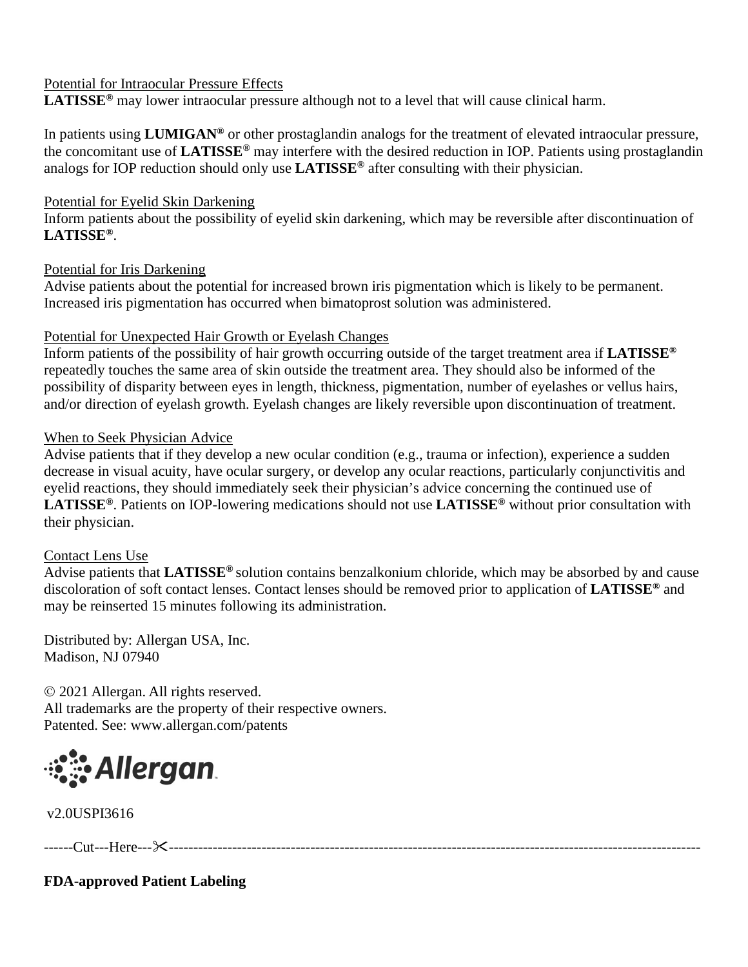### Potential for Intraocular Pressure Effects

**LATISSE®** may lower intraocular pressure although not to a level that will cause clinical harm.

In patients using **LUMIGAN®** or other prostaglandin analogs for the treatment of elevated intraocular pressure, the concomitant use of **LATISSE®** may interfere with the desired reduction in IOP. Patients using prostaglandin analogs for IOP reduction should only use **LATISSE®** after consulting with their physician.

### Potential for Eyelid Skin Darkening

Inform patients about the possibility of eyelid skin darkening, which may be reversible after discontinuation of **LATISSE®**.

### Potential for Iris Darkening

Advise patients about the potential for increased brown iris pigmentation which is likely to be permanent. Increased iris pigmentation has occurred when bimatoprost solution was administered.

### Potential for Unexpected Hair Growth or Eyelash Changes

Inform patients of the possibility of hair growth occurring outside of the target treatment area if **LATISSE®** repeatedly touches the same area of skin outside the treatment area. They should also be informed of the possibility of disparity between eyes in length, thickness, pigmentation, number of eyelashes or vellus hairs, and/or direction of eyelash growth. Eyelash changes are likely reversible upon discontinuation of treatment.

### When to Seek Physician Advice

Advise patients that if they develop a new ocular condition (e.g., trauma or infection), experience a sudden decrease in visual acuity, have ocular surgery, or develop any ocular reactions, particularly conjunctivitis and eyelid reactions, they should immediately seek their physician's advice concerning the continued use of **LATISSE®**. Patients on IOP-lowering medications should not use **LATISSE®** without prior consultation with their physician.

### Contact Lens Use

Advise patients that **LATISSE®** solution contains benzalkonium chloride, which may be absorbed by and cause discoloration of soft contact lenses. Contact lenses should be removed prior to application of **LATISSE®** and may be reinserted 15 minutes following its administration.

Distributed by: Allergan USA, Inc. Madison, NJ 07940

 2021 Allergan. All rights reserved. All trademarks are the property of their respective owners. Patented. See: www.allergan.com/patents



v2.0USPI3616

------Cut---Here----------------------------------------------------------------------------------------------------------------

**FDA-approved Patient Labeling**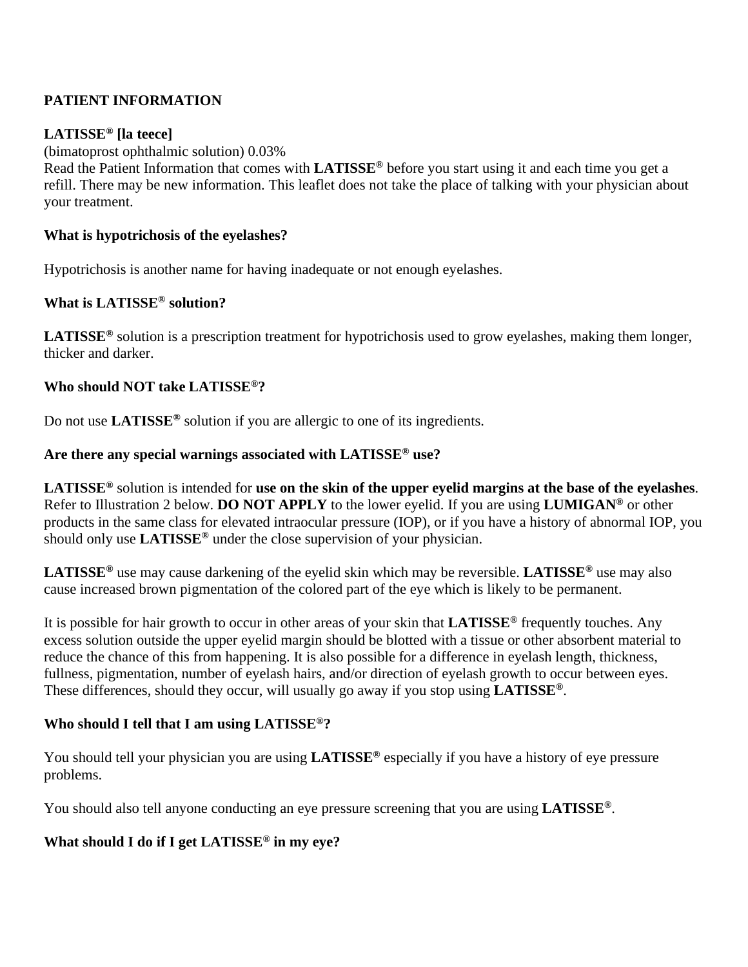# **PATIENT INFORMATION**

### **LATISSE® [la teece]**

(bimatoprost ophthalmic solution) 0.03%

Read the Patient Information that comes with **LATISSE®** before you start using it and each time you get a refill. There may be new information. This leaflet does not take the place of talking with your physician about your treatment.

### **What is hypotrichosis of the eyelashes?**

Hypotrichosis is another name for having inadequate or not enough eyelashes.

### **What is LATISSE® solution?**

**LATISSE®** solution is a prescription treatment for hypotrichosis used to grow eyelashes, making them longer, thicker and darker.

#### **Who should NOT take LATISSE®?**

Do not use **LATISSE®** solution if you are allergic to one of its ingredients.

# **Are there any special warnings associated with LATISSE® use?**

**LATISSE®** solution is intended for **use on the skin of the upper eyelid margins at the base of the eyelashes**. Refer to Illustration 2 below. **DO NOT APPLY** to the lower eyelid. If you are using **LUMIGAN®** or other products in the same class for elevated intraocular pressure (IOP), or if you have a history of abnormal IOP, you should only use **LATISSE®** under the close supervision of your physician.

**LATISSE®** use may cause darkening of the eyelid skin which may be reversible. **LATISSE®** use may also cause increased brown pigmentation of the colored part of the eye which is likely to be permanent.

It is possible for hair growth to occur in other areas of your skin that **LATISSE®** frequently touches. Any excess solution outside the upper eyelid margin should be blotted with a tissue or other absorbent material to reduce the chance of this from happening. It is also possible for a difference in eyelash length, thickness, fullness, pigmentation, number of eyelash hairs, and/or direction of eyelash growth to occur between eyes. These differences, should they occur, will usually go away if you stop using **LATISSE®**.

### **Who should I tell that I am using LATISSE®?**

You should tell your physician you are using **LATISSE®** especially if you have a history of eye pressure problems.

You should also tell anyone conducting an eye pressure screening that you are using **LATISSE®**.

### **What should I do if I get LATISSE® in my eye?**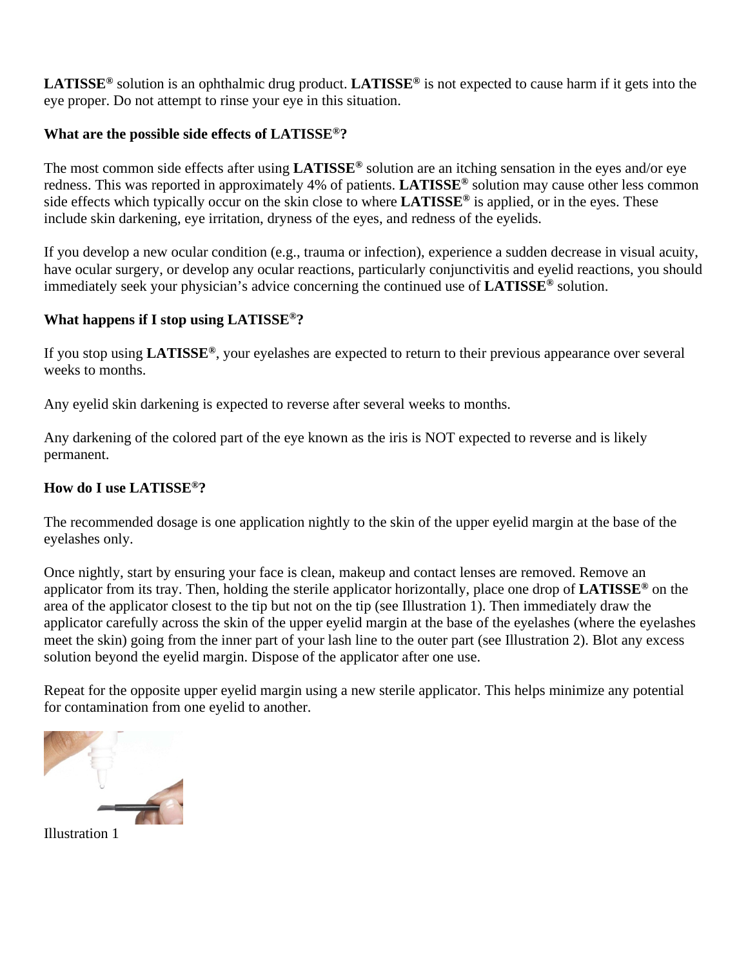**LATISSE®** solution is an ophthalmic drug product. **LATISSE®** is not expected to cause harm if it gets into the eye proper. Do not attempt to rinse your eye in this situation.

### **What are the possible side effects of LATISSE®?**

The most common side effects after using **LATISSE®** solution are an itching sensation in the eyes and/or eye redness. This was reported in approximately 4% of patients. **LATISSE®** solution may cause other less common side effects which typically occur on the skin close to where **LATISSE®** is applied, or in the eyes. These include skin darkening, eye irritation, dryness of the eyes, and redness of the eyelids.

If you develop a new ocular condition (e.g., trauma or infection), experience a sudden decrease in visual acuity, have ocular surgery, or develop any ocular reactions, particularly conjunctivitis and eyelid reactions, you should immediately seek your physician's advice concerning the continued use of **LATISSE®** solution.

### **What happens if I stop using LATISSE®?**

If you stop using **LATISSE®**, your eyelashes are expected to return to their previous appearance over several weeks to months.

Any eyelid skin darkening is expected to reverse after several weeks to months.

Any darkening of the colored part of the eye known as the iris is NOT expected to reverse and is likely permanent.

# **How do I use LATISSE®?**

The recommended dosage is one application nightly to the skin of the upper eyelid margin at the base of the eyelashes only.

Once nightly, start by ensuring your face is clean, makeup and contact lenses are removed. Remove an applicator from its tray. Then, holding the sterile applicator horizontally, place one drop of **LATISSE®** on the area of the applicator closest to the tip but not on the tip (see Illustration 1). Then immediately draw the applicator carefully across the skin of the upper eyelid margin at the base of the eyelashes (where the eyelashes meet the skin) going from the inner part of your lash line to the outer part (see Illustration 2). Blot any excess solution beyond the eyelid margin. Dispose of the applicator after one use.

Repeat for the opposite upper eyelid margin using a new sterile applicator. This helps minimize any potential for contamination from one eyelid to another.

Illustration 1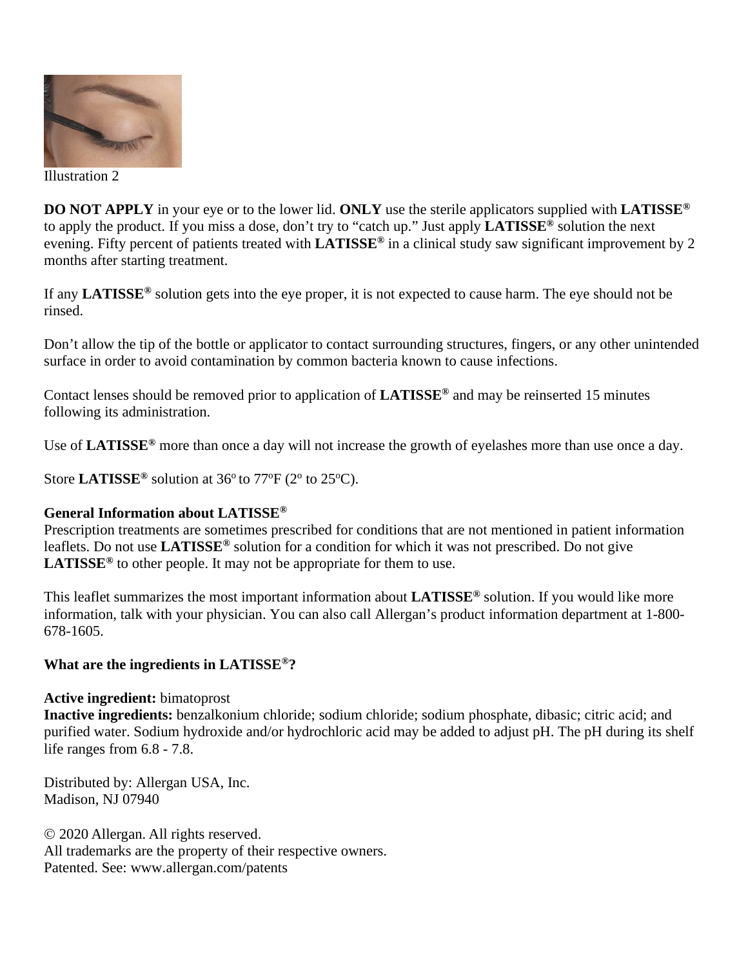

Illustration 2

**DO NOT APPLY** in your eye or to the lower lid. **ONLY** use the sterile applicators supplied with **LATISSE®** to apply the product. If you miss a dose, don't try to "catch up." Just apply **LATISSE®** solution the next evening. Fifty percent of patients treated with **LATISSE®** in a clinical study saw significant improvement by 2 months after starting treatment.

If any **LATISSE®** solution gets into the eye proper, it is not expected to cause harm. The eye should not be rinsed.

Don't allow the tip of the bottle or applicator to contact surrounding structures, fingers, or any other unintended surface in order to avoid contamination by common bacteria known to cause infections.

Contact lenses should be removed prior to application of **LATISSE®** and may be reinserted 15 minutes following its administration.

Use of **LATISSE®** more than once a day will not increase the growth of eyelashes more than use once a day.

Store LATISSE<sup>®</sup> solution at  $36^{\circ}$  to  $77^{\circ}F(2^{\circ}$  to  $25^{\circ}C)$ .

#### **General Information about LATISSE®**

Prescription treatments are sometimes prescribed for conditions that are not mentioned in patient information leaflets. Do not use **LATISSE®** solution for a condition for which it was not prescribed. Do not give **LATISSE®** to other people. It may not be appropriate for them to use.

This leaflet summarizes the most important information about **LATISSE®** solution. If you would like more information, talk with your physician. You can also call Allergan's product information department at 1-800- 678-1605.

#### **What are the ingredients in LATISSE®?**

#### **Active ingredient:** bimatoprost

**Inactive ingredients:** benzalkonium chloride; sodium chloride; sodium phosphate, dibasic; citric acid; and purified water. Sodium hydroxide and/or hydrochloric acid may be added to adjust pH. The pH during its shelf life ranges from 6.8 - 7.8.

Distributed by: Allergan USA, Inc. Madison, NJ 07940

 2020 Allergan. All rights reserved. All trademarks are the property of their respective owners. Patented. See: www.allergan.com/patents